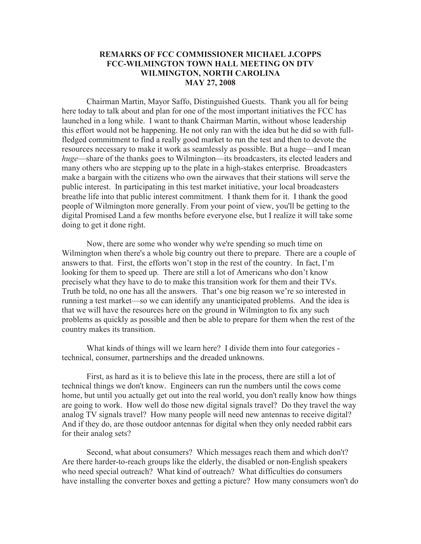## **REMARKS OF FCC COMMISSIONER MICHAEL J.COPPS FCC-WILMINGTON TOWN HALL MEETING ON DTV WILMINGTON, NORTH CAROLINA MAY 27, 2008**

Chairman Martin, Mayor Saffo, Distinguished Guests. Thank you all for being here today to talk about and plan for one of the most important initiatives the FCC has launched in a long while. I want to thank Chairman Martin, without whose leadership this effort would not be happening. He not only ran with the idea but he did so with fullfledged commitment to find a really good market to run the test and then to devote the resources necessary to make it work as seamlessly as possible. But a huge—and I mean *huge*—share of the thanks goes to Wilmington—its broadcasters, its elected leaders and many others who are stepping up to the plate in a high-stakes enterprise. Broadcasters make a bargain with the citizens who own the airwaves that their stations will serve the public interest. In participating in this test market initiative, your local broadcasters breathe life into that public interest commitment. I thank them for it. I thank the good people of Wilmington more generally. From your point of view, you'll be getting to the digital Promised Land a few months before everyone else, but I realize it will take some doing to get it done right.

Now, there are some who wonder why we're spending so much time on Wilmington when there's a whole big country out there to prepare. There are a couple of answers to that. First, the efforts won't stop in the rest of the country. In fact, I'm looking for them to speed up. There are still a lot of Americans who don't know precisely what they have to do to make this transition work for them and their TVs. Truth be told, no one has all the answers. That's one big reason we're so interested in running a test market—so we can identify any unanticipated problems. And the idea is that we will have the resources here on the ground in Wilmington to fix any such problems as quickly as possible and then be able to prepare for them when the rest of the country makes its transition.

What kinds of things will we learn here? I divide them into four categories technical, consumer, partnerships and the dreaded unknowns.

First, as hard as it is to believe this late in the process, there are still a lot of technical things we don't know. Engineers can run the numbers until the cows come home, but until you actually get out into the real world, you don't really know how things are going to work. How well do those new digital signals travel? Do they travel the way analog TV signals travel? How many people will need new antennas to receive digital? And if they do, are those outdoor antennas for digital when they only needed rabbit ears for their analog sets?

Second, what about consumers? Which messages reach them and which don't? Are there harder-to-reach groups like the elderly, the disabled or non-English speakers who need special outreach? What kind of outreach? What difficulties do consumers have installing the converter boxes and getting a picture? How many consumers won't do